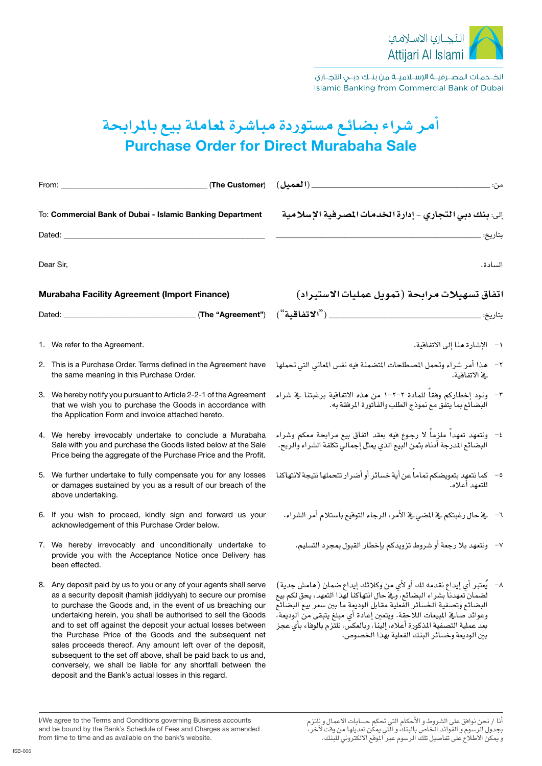

الخــدمـات المصــرفيــة الإســلاميــة من بنــك دبــى التجــارى Islamic Banking from Commercial Bank of Dubai

## **أمر �شراء ب�ضائع م�ستوردة مبا�شرة ملعاملة بيع باملرابحة Purchase Order for Direct Murabaha Sale**

|                                                                     | (The Customer)<br>From: $\_\_$                                                                                                                                                                                                                                                                                                                                                                                                                                                                                                                                                                                                                            | من:                                                                                                                                                                                                                                                                                                                                                                                                                                   |
|---------------------------------------------------------------------|-----------------------------------------------------------------------------------------------------------------------------------------------------------------------------------------------------------------------------------------------------------------------------------------------------------------------------------------------------------------------------------------------------------------------------------------------------------------------------------------------------------------------------------------------------------------------------------------------------------------------------------------------------------|---------------------------------------------------------------------------------------------------------------------------------------------------------------------------------------------------------------------------------------------------------------------------------------------------------------------------------------------------------------------------------------------------------------------------------------|
| To: Commercial Bank of Dubai - Islamic Banking Department<br>Dated: |                                                                                                                                                                                                                                                                                                                                                                                                                                                                                                                                                                                                                                                           | إلى: بنك دبي التجاري - إدارة الخدمات المصرفية الإسلامية<br>بتاريخ:                                                                                                                                                                                                                                                                                                                                                                    |
|                                                                     | Dear Sir,                                                                                                                                                                                                                                                                                                                                                                                                                                                                                                                                                                                                                                                 | السادة،                                                                                                                                                                                                                                                                                                                                                                                                                               |
| <b>Murabaha Facility Agreement (Import Finance)</b>                 |                                                                                                                                                                                                                                                                                                                                                                                                                                                                                                                                                                                                                                                           | اتفاق تسهيلات مرابحة (تمويل عمليات الاستيراد)                                                                                                                                                                                                                                                                                                                                                                                         |
|                                                                     |                                                                                                                                                                                                                                                                                                                                                                                                                                                                                                                                                                                                                                                           | بتاريخ: _                                                                                                                                                                                                                                                                                                                                                                                                                             |
|                                                                     | 1. We refer to the Agreement.                                                                                                                                                                                                                                                                                                                                                                                                                                                                                                                                                                                                                             | ١- الإشارة هنا إلى الاتفاقية.                                                                                                                                                                                                                                                                                                                                                                                                         |
|                                                                     | 2. This is a Purchase Order. Terms defined in the Agreement have<br>the same meaning in this Purchase Order.                                                                                                                                                                                                                                                                                                                                                                                                                                                                                                                                              | هذا أمر شراء وتحمل المصطلحات المتضمنة فيه نفس المعاني التي تحملها<br><u>ے الاتفاقية.</u>                                                                                                                                                                                                                                                                                                                                              |
|                                                                     | 3. We hereby notify you pursuant to Article 2-2-1 of the Agreement<br>that we wish you to purchase the Goods in accordance with<br>the Application Form and invoice attached hereto.                                                                                                                                                                                                                                                                                                                                                                                                                                                                      | ٣- ونود إخطاركم وفقاً للمادة ٢-٢-١ من هذه الاتفاقية برغبتنا في شراء<br>البضائع بما يتفق مع نموذج الطلب والفاتورة المرفقة به.                                                                                                                                                                                                                                                                                                          |
|                                                                     | 4. We hereby irrevocably undertake to conclude a Murabaha<br>Sale with you and purchase the Goods listed below at the Sale<br>Price being the aggregate of the Purchase Price and the Profit.                                                                                                                                                                                                                                                                                                                                                                                                                                                             | ٤- ونتعهد تعهدا ملزٍما لا رجوع فيه بعقد اتفاق بيع مرابحة معكم وشراء<br>ر<br>البضائع المدرجة أَدناه بثمن البيع الذي يمثل إجمالي تكلفة الشراء والربح.                                                                                                                                                                                                                                                                                   |
|                                                                     | 5. We further undertake to fully compensate you for any losses<br>or damages sustained by you as a result of our breach of the<br>above undertaking.                                                                                                                                                                                                                                                                                                                                                                                                                                                                                                      | ٥-    كما نتعهد بتعويضكم تماماً عن أية خسائر أو أضرار تتحملها نتيجة لانتهاكنا<br>للتعهد أعلاه.                                                                                                                                                                                                                                                                                                                                        |
|                                                                     | 6. If you wish to proceed, kindly sign and forward us your<br>acknowledgement of this Purchase Order below.                                                                                                                                                                                                                                                                                                                                                                                                                                                                                                                                               | ٦–     يفـ حال رغبتكم ـفي المضى في الأمر ، الرجاء التوقيع باستلام أمر الشراء.                                                                                                                                                                                                                                                                                                                                                         |
|                                                                     | 7. We hereby irrevocably and unconditionally undertake to<br>provide you with the Acceptance Notice once Delivery has<br>been effected.                                                                                                                                                                                                                                                                                                                                                                                                                                                                                                                   | ٧- ونتعهد بلا رجعة أو شروط تزويدكم بإخطار القبول بمجرد التسليم.                                                                                                                                                                                                                                                                                                                                                                       |
|                                                                     | 8. Any deposit paid by us to you or any of your agents shall serve<br>as a security deposit (hamish jiddiyyah) to secure our promise<br>to purchase the Goods and, in the event of us breaching our<br>undertaking herein, you shall be authorised to sell the Goods<br>and to set off against the deposit your actual losses between<br>the Purchase Price of the Goods and the subsequent net<br>sales proceeds thereof. Any amount left over of the deposit,<br>subsequent to the set off above, shall be paid back to us and,<br>conversely, we shall be liable for any shortfall between the<br>deposit and the Bank's actual losses in this regard. | يَعتبر أي إيداع نقدمه لك أو لأي من وكلائك إيداع ضمان (هامش جدية)<br>$-\lambda$<br>لضمان تعهدناً بشراء البضائع، وفي حال انتهاكنا لهذا التعهد، يحق لكم بيع<br>البضائع وتصفية الخسائر الفعلية مقابل الوديعة ما بين سعر بيع البضائع<br>وعوائد صالِحْ المبيعات اللاحقة. ويتعين إعادة أي مبلغ يتبقى من الوديعة،<br>بعد عملية التصفية المذكورة أعلاه، إلينا، وبالعكس، نلتزم بالوفاء بأي عجز<br>بين الوديعة وخسائر البنك الفعلية بهذا الخصوص. |

أنا / نحن نوافق على الشروط و الأحكام التي تحكم حسابات الاعمال و نٍلتزم بجدول الرسوم و الفوائد الخاص بالبنك و الّتي يمكن تعديلها من وقت لآخر، و يمكن الأطلاع على تفاصيل تلك الرسوم عبر الموقع الالكتروني للبنك.

I/We agree to the Terms and Conditions governing Business accounts and be bound by the Bank's Schedule of Fees and Charges as amended from time to time and as available on the bank's website.